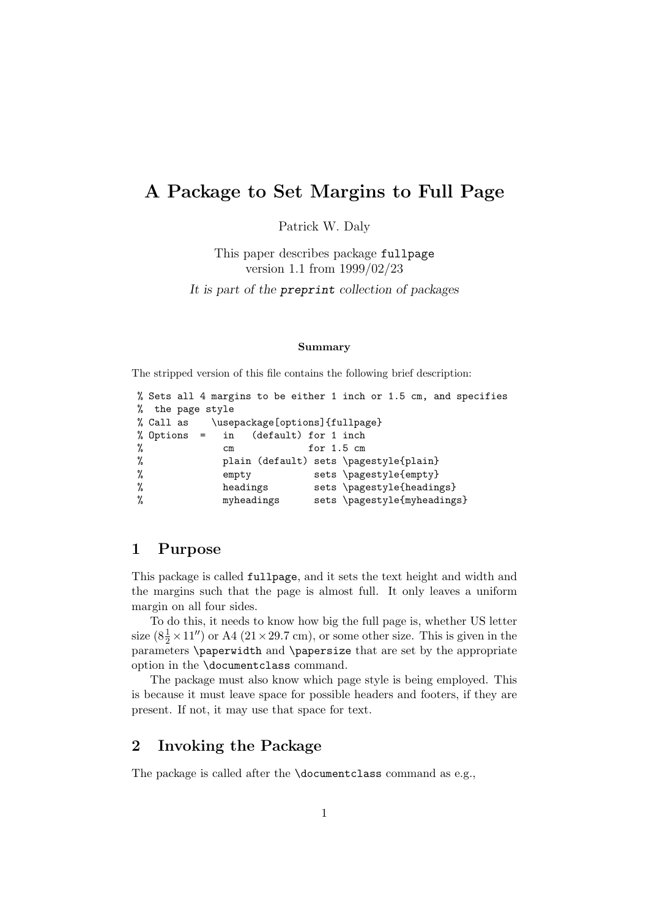## A Package to Set Margins to Full Page

Patrick W. Daly

This paper describes package fullpage version 1.1 from 1999/02/23

It is part of the preprint collection of packages

## Summary

The stripped version of this file contains the following brief description:

```
% Sets all 4 margins to be either 1 inch or 1.5 cm, and specifies
% the page style
% Call as \usepackage[options]{fullpage}
% Options = in (default) for 1 inch
% cm for 1.5 cm
% plain (default) sets \pagestyle{plain}
% empty sets \pagestyle{empty}
% headings sets \pagestyle{headings}
% myheadings sets \pagestyle{myheadings}
```
## 1 Purpose

This package is called fullpage, and it sets the text height and width and the margins such that the page is almost full. It only leaves a uniform margin on all four sides.

To do this, it needs to know how big the full page is, whether US letter size  $(8\frac{1}{2} \times 11'')$  or A4  $(21 \times 29.7 \text{ cm})$ , or some other size. This is given in the parameters \paperwidth and \papersize that are set by the appropriate option in the \documentclass command.

The package must also know which page style is being employed. This is because it must leave space for possible headers and footers, if they are present. If not, it may use that space for text.

## 2 Invoking the Package

The package is called after the **\documentclass** command as e.g.,